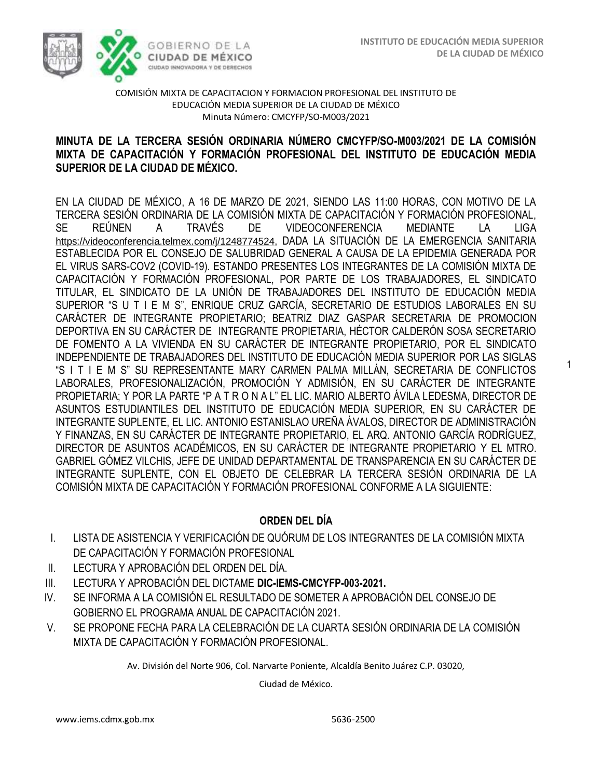1



### COMISIÓN MIXTA DE CAPACITACION Y FORMACION PROFESIONAL DEL INSTITUTO DE EDUCACIÓN MEDIA SUPERIOR DE LA CIUDAD DE MÉXICO Minuta Número: CMCYFP/SO-M003/2021

# **MINUTA DE LA TERCERA SESIÓN ORDINARIA NÚMERO CMCYFP/SO-M003/2021 DE LA COMISIÓN MIXTA DE CAPACITACIÓN Y FORMACIÓN PROFESIONAL DEL INSTITUTO DE EDUCACIÓN MEDIA SUPERIOR DE LA CIUDAD DE MÉXICO.**

EN LA CIUDAD DE MÉXICO, A 16 DE MARZO DE 2021, SIENDO LAS 11:00 HORAS, CON MOTIVO DE LA TERCERA SESIÓN ORDINARIA DE LA COMISIÓN MIXTA DE CAPACITACIÓN Y FORMACIÓN PROFESIONAL, SE REÚNEN A TRAVÉS DE VIDEOCONFERENCIA MEDIANTE LA LIGA <https://videoconferencia.telmex.com/j/1248774524>, DADA LA SITUACIÓN DE LA EMERGENCIA SANITARIA ESTABLECIDA POR EL CONSEJO DE SALUBRIDAD GENERAL A CAUSA DE LA EPIDEMIA GENERADA POR EL VIRUS SARS-COV2 (COVID-19). ESTANDO PRESENTES LOS INTEGRANTES DE LA COMISIÓN MIXTA DE CAPACITACIÓN Y FORMACIÓN PROFESIONAL, POR PARTE DE LOS TRABAJADORES, EL SINDICATO TITULAR, EL SINDICATO DE LA UNIÓN DE TRABAJADORES DEL INSTITUTO DE EDUCACIÓN MEDIA SUPERIOR "S U T I E M S", ENRIQUE CRUZ GARCÍA, SECRETARIO DE ESTUDIOS LABORALES EN SU CARÁCTER DE INTEGRANTE PROPIETARIO; BEATRIZ DIAZ GASPAR SECRETARIA DE PROMOCION DEPORTIVA EN SU CARÁCTER DE INTEGRANTE PROPIETARIA, HÉCTOR CALDERÓN SOSA SECRETARIO DE FOMENTO A LA VIVIENDA EN SU CARÁCTER DE INTEGRANTE PROPIETARIO, POR EL SINDICATO INDEPENDIENTE DE TRABAJADORES DEL INSTITUTO DE EDUCACIÓN MEDIA SUPERIOR POR LAS SIGLAS "S I T I E M S" SU REPRESENTANTE MARY CARMEN PALMA MILLÁN, SECRETARIA DE CONFLICTOS LABORALES, PROFESIONALIZACIÓN, PROMOCIÓN Y ADMISIÓN, EN SU CARÁCTER DE INTEGRANTE PROPIETARIA; Y POR LA PARTE "P A T R O N A L" EL LIC. MARIO ALBERTO ÁVILA LEDESMA, DIRECTOR DE ASUNTOS ESTUDIANTILES DEL INSTITUTO DE EDUCACIÓN MEDIA SUPERIOR, EN SU CARÁCTER DE INTEGRANTE SUPLENTE, EL LIC. ANTONIO ESTANISLAO UREÑA ÁVALOS, DIRECTOR DE ADMINISTRACIÓN Y FINANZAS, EN SU CARÁCTER DE INTEGRANTE PROPIETARIO, EL ARQ. ANTONIO GARCÍA RODRÍGUEZ, DIRECTOR DE ASUNTOS ACADÉMICOS, EN SU CARÁCTER DE INTEGRANTE PROPIETARIO Y EL MTRO. GABRIEL GÓMEZ VILCHIS, JEFE DE UNIDAD DEPARTAMENTAL DE TRANSPARENCIA EN SU CARÁCTER DE INTEGRANTE SUPLENTE, CON EL OBJETO DE CELEBRAR LA TERCERA SESIÓN ORDINARIA DE LA COMISIÓN MIXTA DE CAPACITACIÓN Y FORMACIÓN PROFESIONAL CONFORME A LA SIGUIENTE:

# **ORDEN DEL DÍA**

- I. LISTA DE ASISTENCIA Y VERIFICACIÓN DE QUÓRUM DE LOS INTEGRANTES DE LA COMISIÓN MIXTA DE CAPACITACIÓN Y FORMACIÓN PROFESIONAL
- II. LECTURA Y APROBACIÓN DEL ORDEN DEL DÍA.
- III. LECTURA Y APROBACIÓN DEL DICTAME **DIC-IEMS-CMCYFP-003-2021.**
- IV. SE INFORMA A LA COMISIÓN EL RESULTADO DE SOMETER A APROBACIÓN DEL CONSEJO DE GOBIERNO EL PROGRAMA ANUAL DE CAPACITACIÓN 2021.
- V. SE PROPONE FECHA PARA LA CELEBRACIÓN DE LA CUARTA SESIÓN ORDINARIA DE LA COMISIÓN MIXTA DE CAPACITACIÓN Y FORMACIÓN PROFESIONAL.

Av. División del Norte 906, Col. Narvarte Poniente, Alcaldía Benito Juárez C.P. 03020,

Ciudad de México.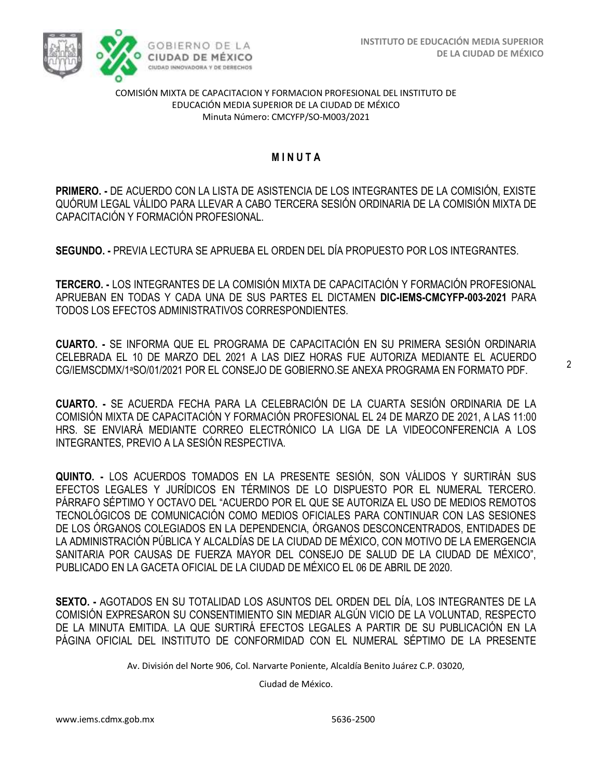

### COMISIÓN MIXTA DE CAPACITACION Y FORMACION PROFESIONAL DEL INSTITUTO DE EDUCACIÓN MEDIA SUPERIOR DE LA CIUDAD DE MÉXICO Minuta Número: CMCYFP/SO-M003/2021

# **M I N U T A**

**PRIMERO. -** DE ACUERDO CON LA LISTA DE ASISTENCIA DE LOS INTEGRANTES DE LA COMISIÓN, EXISTE QUÓRUM LEGAL VÁLIDO PARA LLEVAR A CABO TERCERA SESIÓN ORDINARIA DE LA COMISIÓN MIXTA DE CAPACITACIÓN Y FORMACIÓN PROFESIONAL.

**SEGUNDO. -** PREVIA LECTURA SE APRUEBA EL ORDEN DEL DÍA PROPUESTO POR LOS INTEGRANTES.

**TERCERO. -** LOS INTEGRANTES DE LA COMISIÓN MIXTA DE CAPACITACIÓN Y FORMACIÓN PROFESIONAL APRUEBAN EN TODAS Y CADA UNA DE SUS PARTES EL DICTAMEN **DIC-IEMS-CMCYFP-003-2021** PARA TODOS LOS EFECTOS ADMINISTRATIVOS CORRESPONDIENTES.

**CUARTO. -** SE INFORMA QUE EL PROGRAMA DE CAPACITACIÓN EN SU PRIMERA SESIÓN ORDINARIA CELEBRADA EL 10 DE MARZO DEL 2021 A LAS DIEZ HORAS FUE AUTORIZA MEDIANTE EL ACUERDO CG/IEMSCDMX/1aSO/01/2021 POR EL CONSEJO DE GOBIERNO.SE ANEXA PROGRAMA EN FORMATO PDF.

**CUARTO. -** SE ACUERDA FECHA PARA LA CELEBRACIÓN DE LA CUARTA SESIÓN ORDINARIA DE LA COMISIÓN MIXTA DE CAPACITACIÓN Y FORMACIÓN PROFESIONAL EL 24 DE MARZO DE 2021, A LAS 11:00 HRS. SE ENVIARÁ MEDIANTE CORREO ELECTRÓNICO LA LIGA DE LA VIDEOCONFERENCIA A LOS INTEGRANTES, PREVIO A LA SESIÓN RESPECTIVA.

**QUINTO. -** LOS ACUERDOS TOMADOS EN LA PRESENTE SESIÓN, SON VÁLIDOS Y SURTIRÁN SUS EFECTOS LEGALES Y JURÍDICOS EN TÉRMINOS DE LO DISPUESTO POR EL NUMERAL TERCERO. PÁRRAFO SÉPTIMO Y OCTAVO DEL "ACUERDO POR EL QUE SE AUTORIZA EL USO DE MEDIOS REMOTOS TECNOLÓGICOS DE COMUNICACIÓN COMO MEDIOS OFICIALES PARA CONTINUAR CON LAS SESIONES DE LOS ÓRGANOS COLEGIADOS EN LA DEPENDENCIA, ÓRGANOS DESCONCENTRADOS, ENTIDADES DE LA ADMINISTRACIÓN PÚBLICA Y ALCALDÍAS DE LA CIUDAD DE MÉXICO, CON MOTIVO DE LA EMERGENCIA SANITARIA POR CAUSAS DE FUERZA MAYOR DEL CONSEJO DE SALUD DE LA CIUDAD DE MÉXICO", PUBLICADO EN LA GACETA OFICIAL DE LA CIUDAD DE MÉXICO EL 06 DE ABRIL DE 2020.

**SEXTO. -** AGOTADOS EN SU TOTALIDAD LOS ASUNTOS DEL ORDEN DEL DÍA, LOS INTEGRANTES DE LA COMISIÓN EXPRESARON SU CONSENTIMIENTO SIN MEDIAR ALGÚN VICIO DE LA VOLUNTAD, RESPECTO DE LA MINUTA EMITIDA. LA QUE SURTIRÁ EFECTOS LEGALES A PARTIR DE SU PUBLICACIÓN EN LA PÁGINA OFICIAL DEL INSTITUTO DE CONFORMIDAD CON EL NUMERAL SÉPTIMO DE LA PRESENTE

Av. División del Norte 906, Col. Narvarte Poniente, Alcaldía Benito Juárez C.P. 03020,

Ciudad de México.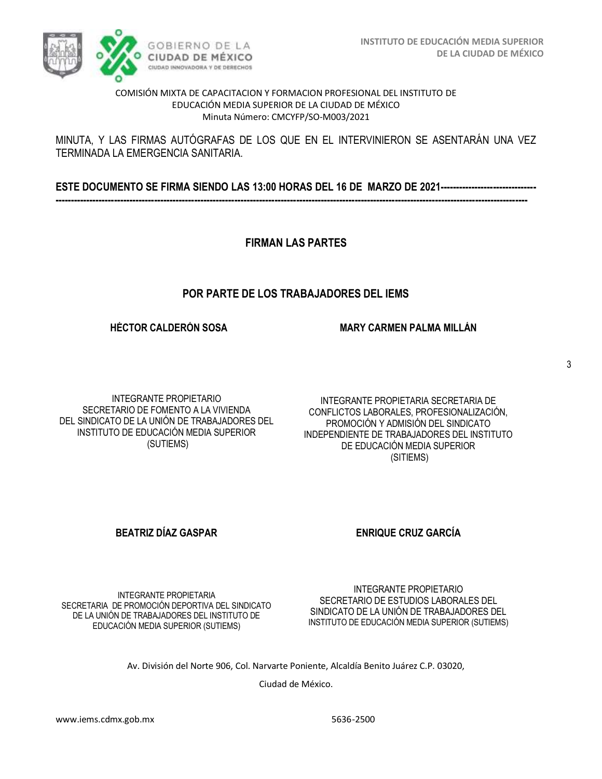#### COMISIÓN MIXTA DE CAPACITACION Y FORMACION PROFESIONAL DEL INSTITUTO DE EDUCACIÓN MEDIA SUPERIOR DE LA CIUDAD DE MÉXICO Minuta Número: CMCYFP/SO-M003/2021

### MINUTA, Y LAS FIRMAS AUTÓGRAFAS DE LOS QUE EN EL INTERVINIERON SE ASENTARÁN UNA VEZ TERMINADA LA EMERGENCIA SANITARIA.

**ESTE DOCUMENTO SE FIRMA SIENDO LAS 13:00 HORAS DEL 16 DE MARZO DE 2021------------------------------- ---------------------------------------------------------------------------------------------------------------------------------------------------------**

**FIRMAN LAS PARTES**

# **POR PARTE DE LOS TRABAJADORES DEL IEMS**

**HÉCTOR CALDERÓN SOSA** 

INTEGRANTE PROPIETARIO SECRETARIO DE FOMENTO A LA VIVIENDA DEL SINDICATO DE LA UNIÓN DE TRABAJADORES DEL INSTITUTO DE EDUCACIÓN MEDIA SUPERIOR (SUTIEMS)

INTEGRANTE PROPIETARIA SECRETARIA DE CONFLICTOS LABORALES, PROFESIONALIZACIÓN, PROMOCIÓN Y ADMISIÓN DEL SINDICATO INDEPENDIENTE DE TRABAJADORES DEL INSTITUTO DE EDUCACIÓN MEDIA SUPERIOR (SITIEMS)

**MARY CARMEN PALMA MILLÁN**

# **BEATRIZ DÍAZ GASPAR ENRIQUE CRUZ GARCÍA**

INTEGRANTE PROPIETARIO SECRETARIO DE ESTUDIOS LABORALES DEL SINDICATO DE LA UNIÓN DE TRABAJADORES DEL INSTITUTO DE EDUCACIÓN MEDIA SUPERIOR (SUTIEMS)

INTEGRANTE PROPIETARIA SECRETARIA DE PROMOCIÓN DEPORTIVA DEL SINDICATO DE LA UNIÓN DE TRABAJADORES DEL INSTITUTO DE EDUCACIÓN MEDIA SUPERIOR (SUTIEMS)

Av. División del Norte 906, Col. Narvarte Poniente, Alcaldía Benito Juárez C.P. 03020,

Ciudad de México.



3